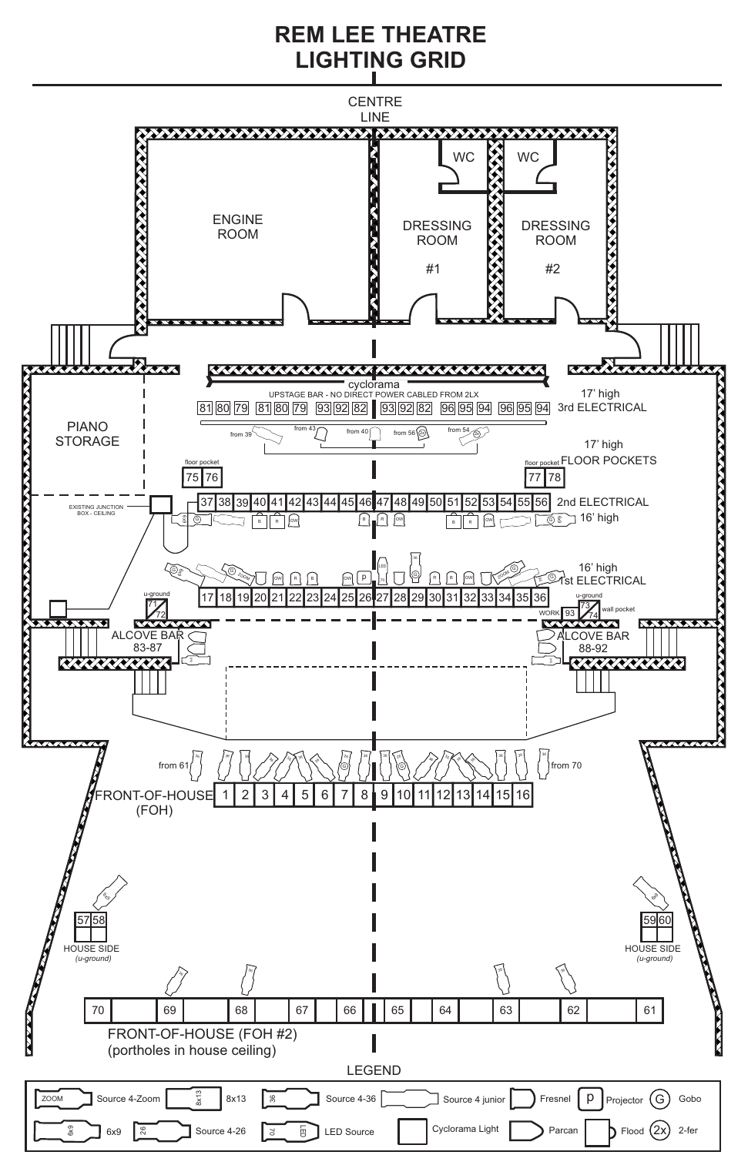## **REM LEE THEATRE LIGHTING GRID**

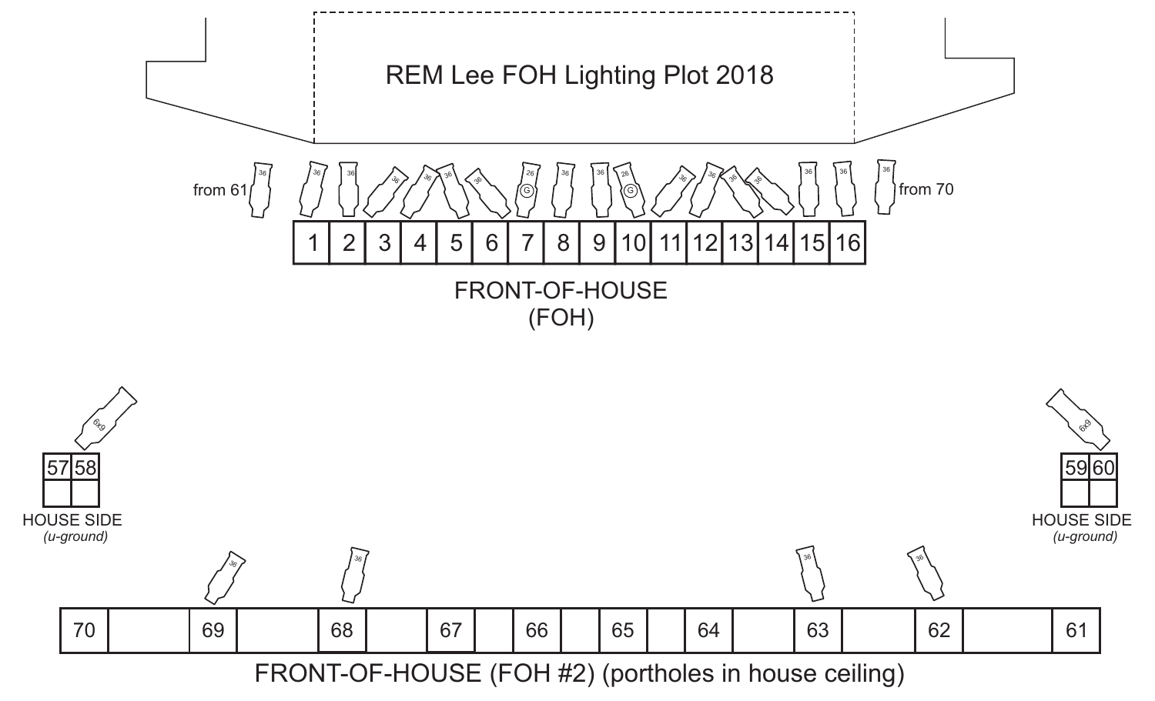